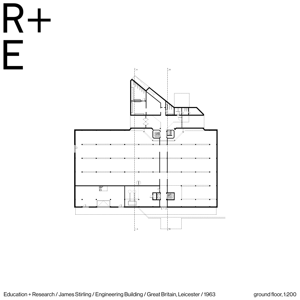E





| ground floor, 1:200 |  |
|---------------------|--|
|                     |  |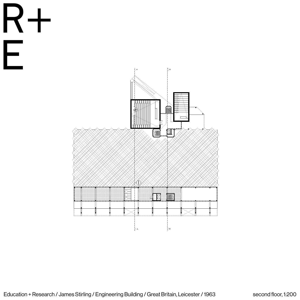|  |  |  | Education + Research / James Stirling / Engineering Building / Great Britain, Leicester / 1963 |  |
|--|--|--|------------------------------------------------------------------------------------------------|--|
|--|--|--|------------------------------------------------------------------------------------------------|--|



| second floor, 1:200 |
|---------------------|
|---------------------|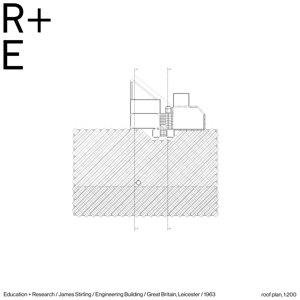|  |  |  | Education + Research / James Stirling / Engineering Building / Great Britain, Leicester / 1963 |  |
|--|--|--|------------------------------------------------------------------------------------------------|--|
|--|--|--|------------------------------------------------------------------------------------------------|--|

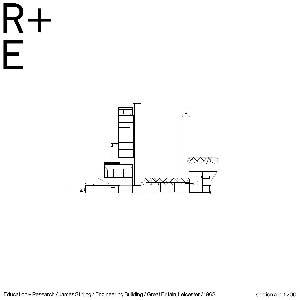RH 



|  | section a-a, 1:200 |
|--|--------------------|

|  |  | ling / Engineering Building / Great Britain, Leicester / 1963 |  |
|--|--|---------------------------------------------------------------|--|
|  |  |                                                               |  |

|  | <b>INIBULINI</b> |  |  |  |
|--|------------------|--|--|--|
|  |                  |  |  |  |

|  |  | <u>I IUI IUI I</u> |  |
|--|--|--------------------|--|
|--|--|--------------------|--|

**Service** State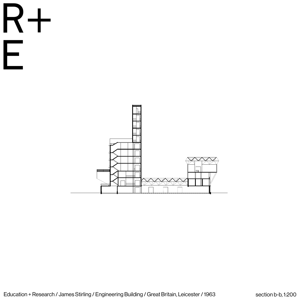



| Education + Research / James Stirling / Engineering Building / Great Britain, Leicester / 1963 |  |  |  |
|------------------------------------------------------------------------------------------------|--|--|--|
|                                                                                                |  |  |  |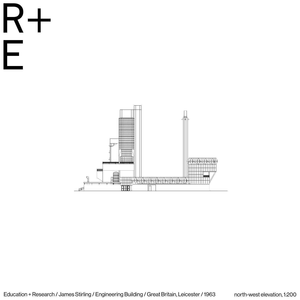





| <u>ilding / Great Britain, Leicester ,</u> | 1963 |
|--------------------------------------------|------|
|                                            |      |

|  | Enqineering Building |  |  |  |
|--|----------------------|--|--|--|
|  |                      |  |  |  |

|  | <b>ING BUILGI</b> |  |
|--|-------------------|--|
|  |                   |  |

| Ξ.                            |  |  |
|-------------------------------|--|--|
| L<br>$\overline{\phantom{a}}$ |  |  |
|                               |  |  |

| $\bigcap$ | IUI | eerinc |  |
|-----------|-----|--------|--|
|           |     |        |  |

| ٧<br>__ | -- |  |
|---------|----|--|

| __ | -- |
|----|----|

| I<br>__ | ۰. |  |
|---------|----|--|

| _ | __ |  |  |
|---|----|--|--|

| __ | __ | __ |
|----|----|----|

| __<br>۰ | __ |
|---------|----|

| __ | -- |  |
|----|----|--|

| ۰. |  |
|----|--|

| -- |  |
|----|--|

 $\bigcup$